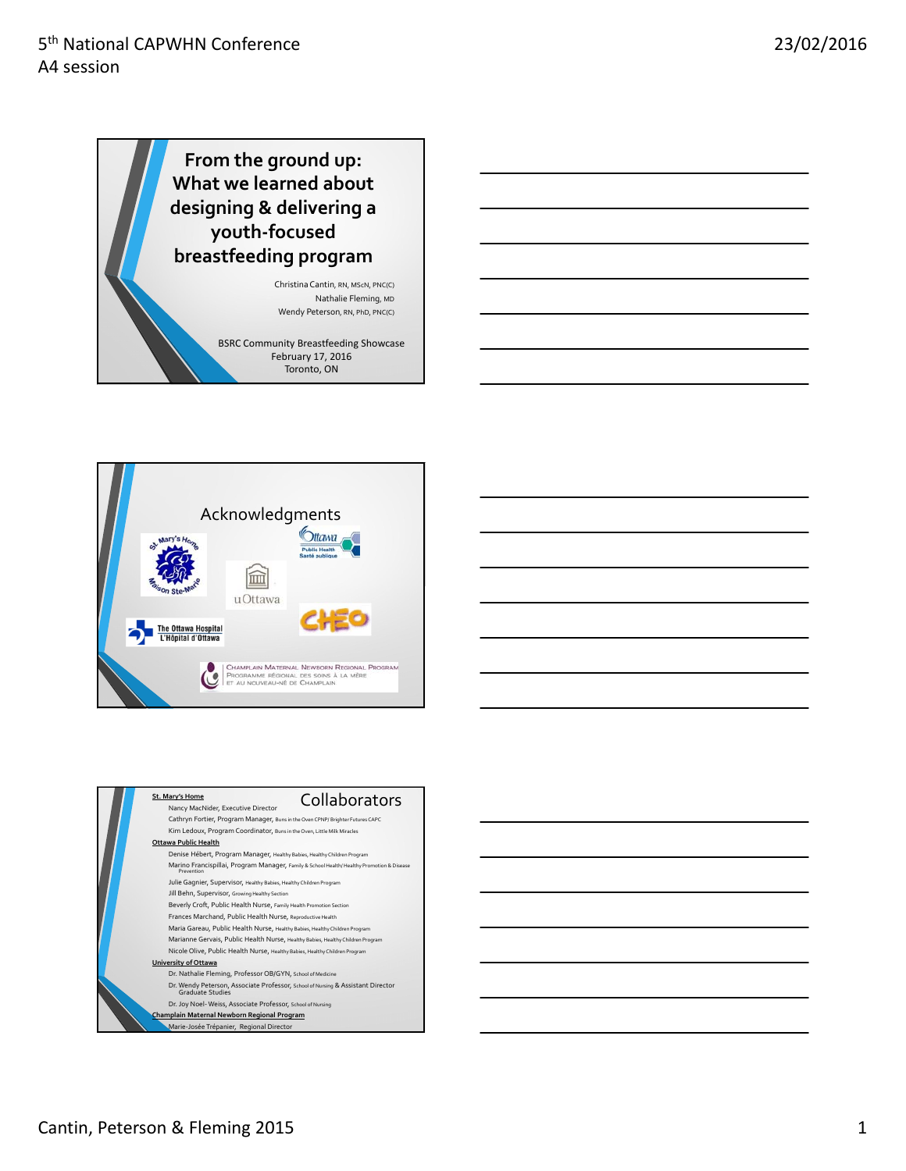**From the ground up: What we learned about designing & delivering a youth‐focused breastfeeding program**

> ChristinaCantin, RN, MScN, PNC(C) Nathalie Fleming, MD Wendy Peterson, RN, PhD, PNC(C)

BSRC Community Breastfeeding Showcase February 17, 2016 Toronto, ON







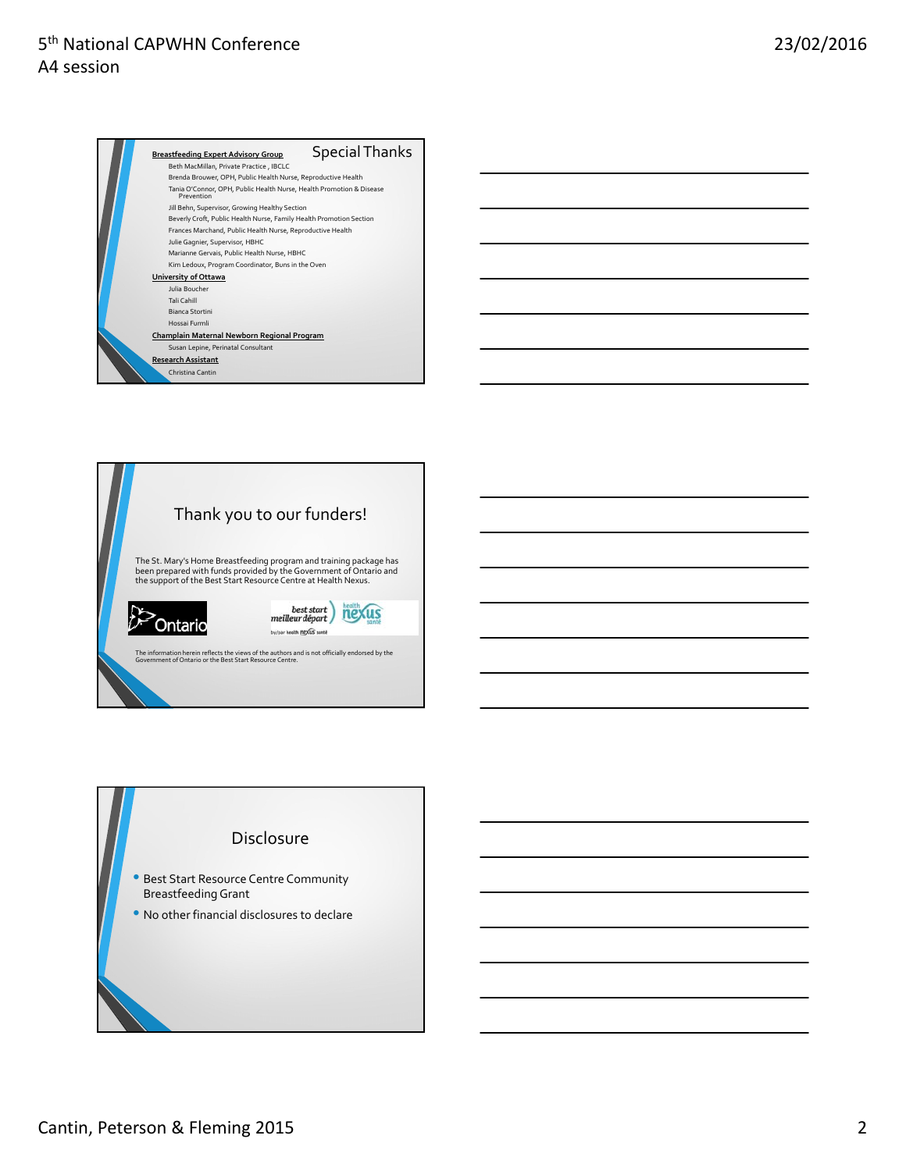



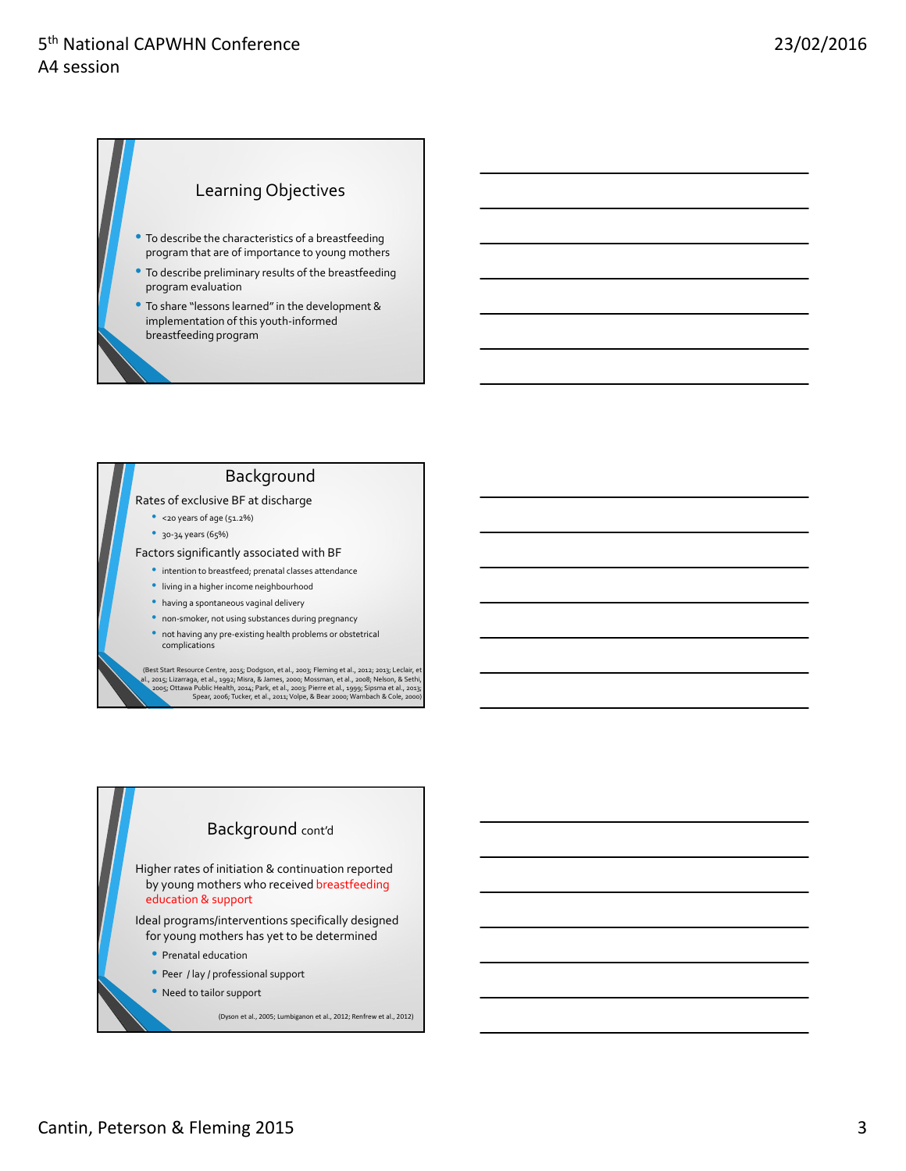#### Learning Objectives

- To describe the characteristics of <sup>a</sup> breastfeeding program that are of importance to young mothers
- To describe preliminary results of the breastfeeding program evaluation
- To share "lessons learned"in the development & implementation of this youth‐informed breastfeeding program

#### Background

#### Rates of exclusive BF at discharge

- <20 years of age (51.2%)
- 30-34 years (65%)

#### Factors significantly associated with BF

- intention to breastfeed; prenatal classes attendance
- living in <sup>a</sup> higher income neighbourhood
- having <sup>a</sup> spontaneous vaginal delivery
- non-smoker, not using substances during pregnancy
- not having any pre-existing health problems or obstetrical complications

(Best Start Resource Centre, 2015; Dodgson, et al., 2003; Fleming et al., 2012; 2013; Leclair, et (B., 2015; Lizarraga, et al., 1992; Misra, 8. James, 2000; Ottawa Public Healt, 1992; Misra, 8. Sethi, 2006; Ottawa Public H

# Background cont'd Higher rates of initiation & continuation reported by young mothers who received breastfeeding education & support Ideal programs/interventions specifically designed for young mothers has yet to be determined • Prenatal education • Peer / lay / professional support

• Need to tailor support

(Dyson et al., 2005; Lumbiganon et al., 2012; Renfrew et al., 2012)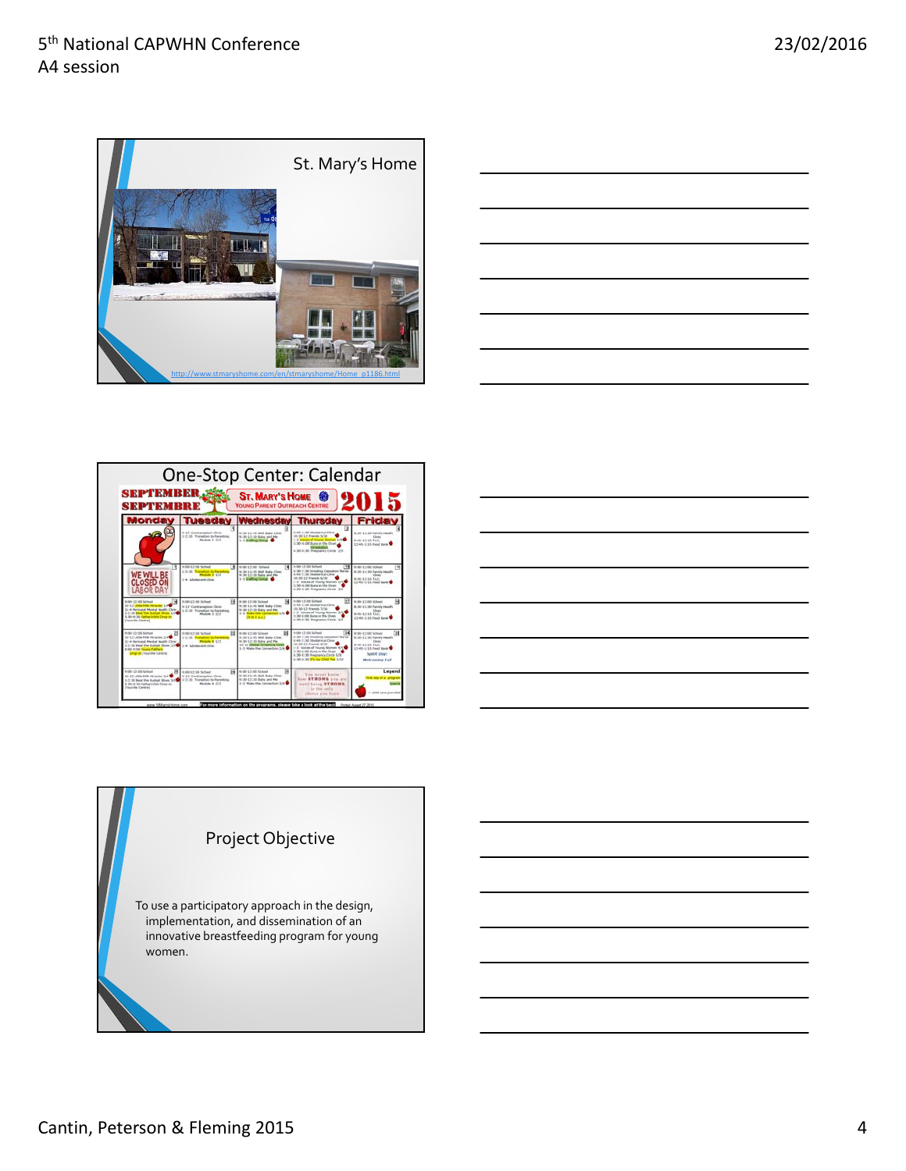







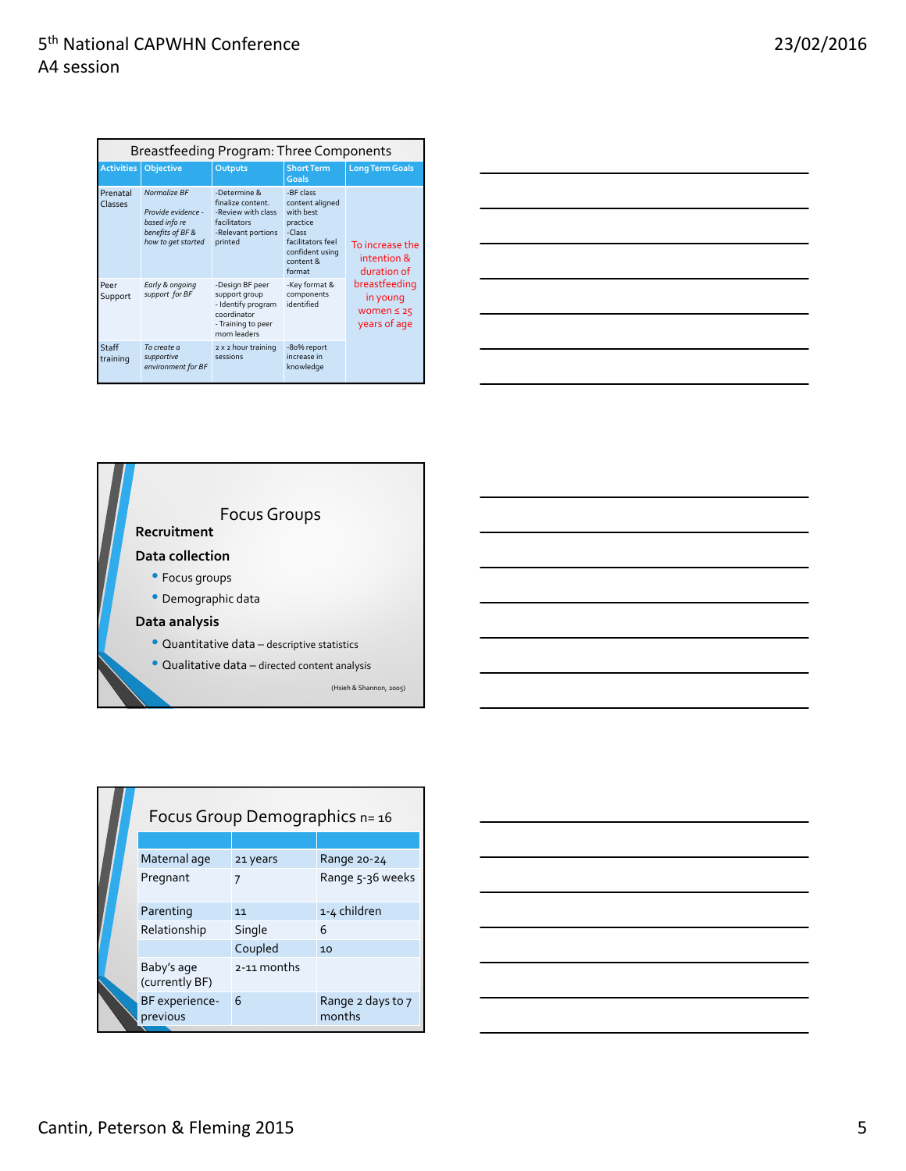| Breastfeeding Program: Three Components |                                                                                               |                                                                                                            |                                                                                                                                |                                                              |  |  |
|-----------------------------------------|-----------------------------------------------------------------------------------------------|------------------------------------------------------------------------------------------------------------|--------------------------------------------------------------------------------------------------------------------------------|--------------------------------------------------------------|--|--|
| <b>Activities</b>                       | <b>Objective</b>                                                                              | Outputs                                                                                                    | <b>Short Term</b><br>Goals                                                                                                     | <b>Long Term Goals</b>                                       |  |  |
| Prenatal<br>Classes                     | Normalize BF<br>Provide evidence -<br>based info re<br>benefits of BF &<br>how to get started | -Determine &<br>finalize content.<br>-Review with class<br>facilitators<br>-Relevant portions<br>printed   | -BF class<br>content aligned<br>with hest<br>practice<br>-Class<br>facilitators feel<br>confident using<br>content &<br>format | To increase the<br>intention &<br>duration of                |  |  |
| Peer<br>Support                         | Early & ongoing<br>support for BF                                                             | -Design BF peer<br>support group<br>- Identify program<br>coordinator<br>- Training to peer<br>mom leaders | -Key format &<br>components<br>identified                                                                                      | breastfeeding<br>in young<br>women $\leq 25$<br>years of age |  |  |
| Staff<br>training                       | To create a<br>supportive<br>environment for BF                                               | 2 x 2 hour training<br>sessions                                                                            | -80% report<br>increase in<br>knowledge                                                                                        |                                                              |  |  |





|  | Focus Group Demographics n= 16 |             |                             |  |  |
|--|--------------------------------|-------------|-----------------------------|--|--|
|  |                                |             |                             |  |  |
|  | Maternal age                   | 21 years    | Range 20-24                 |  |  |
|  | Pregnant                       |             | Range 5-36 weeks            |  |  |
|  | Parenting                      | 11          | 1-4 children                |  |  |
|  | Relationship                   | Single      | 6                           |  |  |
|  |                                | Coupled     | 10                          |  |  |
|  | Baby's age<br>(currently BF)   | 2-11 months |                             |  |  |
|  | BF experience-<br>previous     | 6           | Range 2 days to 7<br>months |  |  |

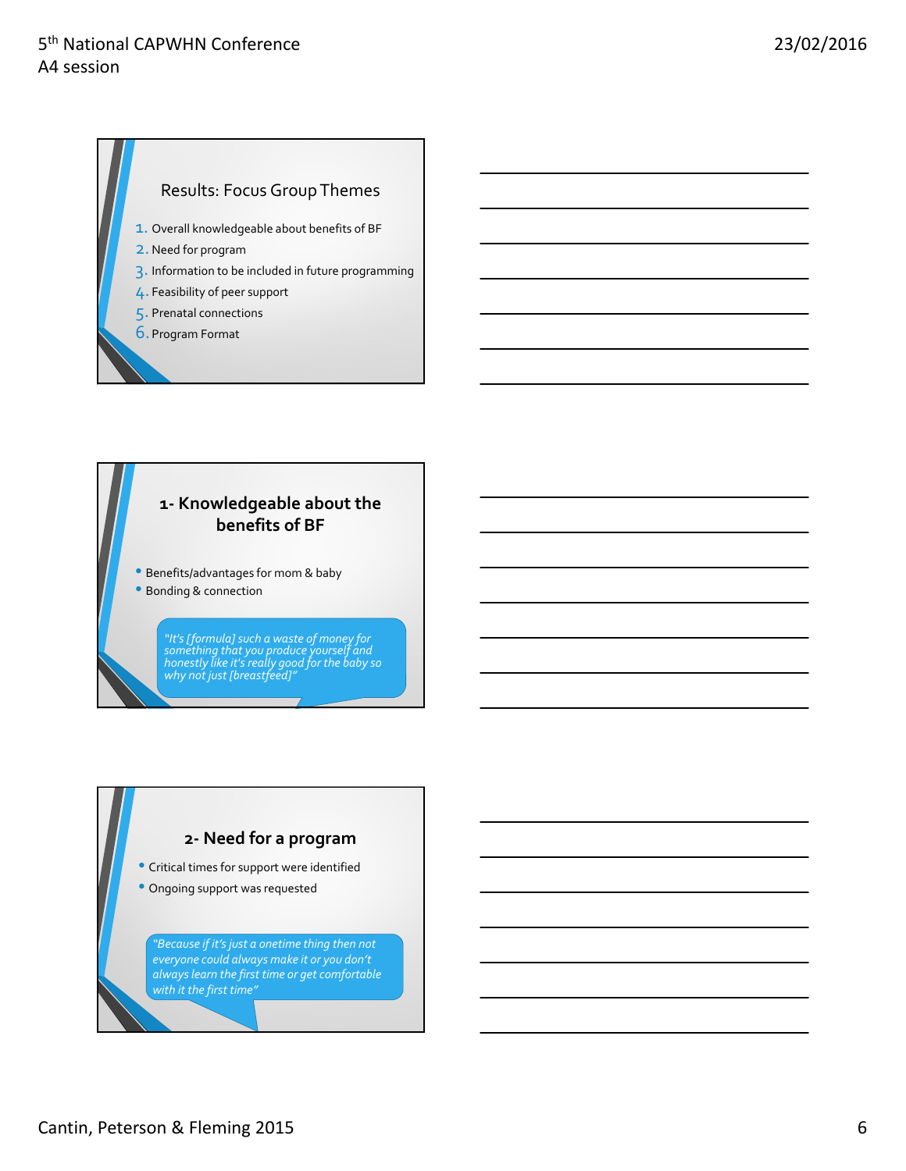### Results: Focus Group Themes

- 1. Overall knowledgeable about benefits of BF
- 2.Need for program
- 3. Information to be included in future programming
- 4. Feasibility of peer support
- 5. Prenatal connections
- 6. Program Format

#### **1‐ Knowledgeable about the benefits of BF**

• Benefits/advantages for mom & baby

• Bonding & connection

*"It's[formula]such a waste of money for something that you produce yourself and honestly like it'sreally good for the baby so why not just [breastfeed]"*

#### **2‐ Need for a program**

• Critical times for support were identified

• Ongoing support was requested

*"Because if it's just a onetime thing then not everyone could always make it or you don't alwayslearn the first time or get comfortable with it the first time"*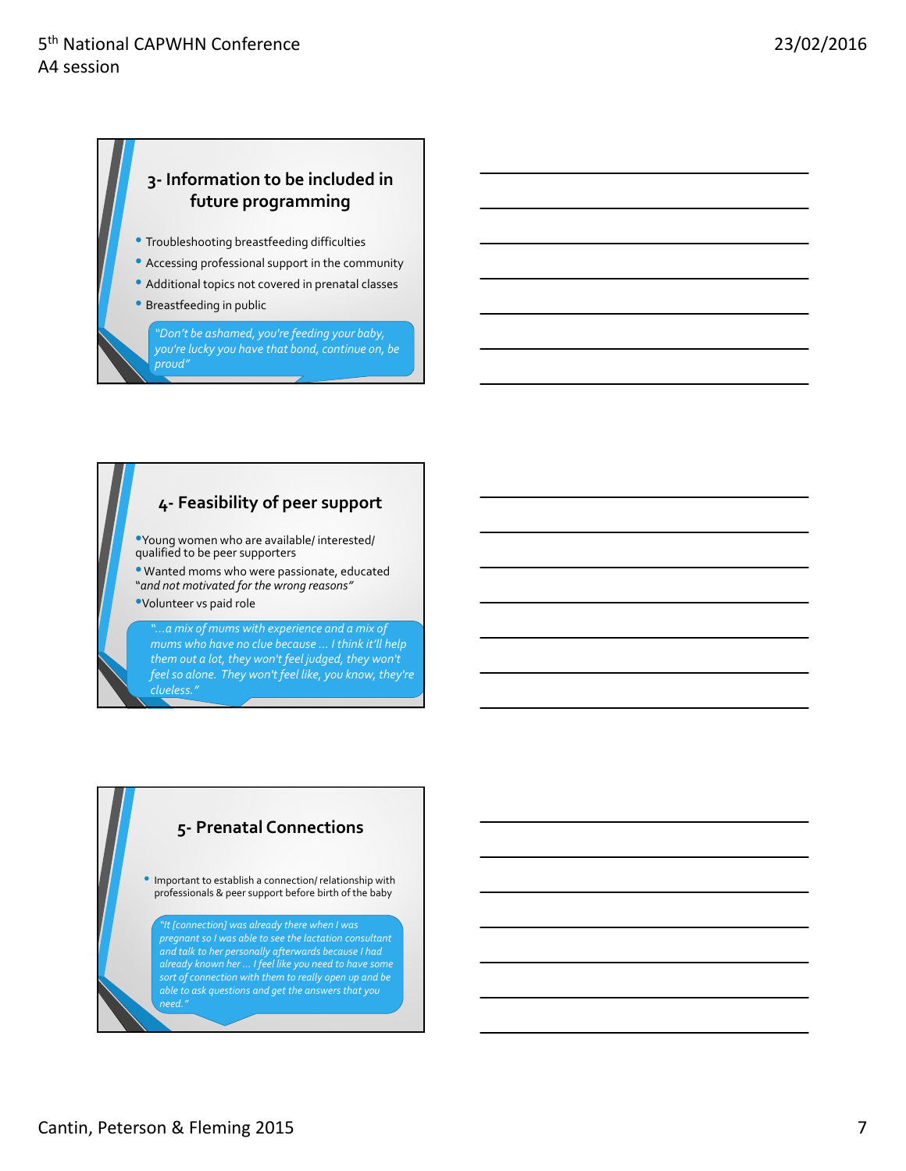# **3‐ Information to be included in future programming**

- Troubleshooting breastfeeding difficulties
- Accessing professional support in the community
- Additional topics not covered in prenatal classes
- Breastfeeding in public

*"Don't be ashamed, you're feeding your baby, you're lucky you have that bond, continue on, be proud"*

#### **4‐ Feasibility of peer support**

- •Young women who are available/ interested/ qualified to be peer supporters
- Wanted moms who were passionate, educated "*and not motivated for the wrong reasons"*
- •Volunteer vs paid role

*"…a mix of mums with experience and a mix of mums who have no clue because … I think it'll help them out a lot, they won't feel judged, they won't feelso alone. They won't feel like, you know, they're*

#### **5‐ Prenatal Connections**

• Important to establish <sup>a</sup> connection/ relationship with professionals & peer support before birth of the baby

*"It [connection] was already there when I was pregnant so I was able to see the lactation consultant and talk to her personally afterwards because I had already known her … I feel like you need to have some sort of connection with them to really open up and be able to ask questions and get the answers that you need."*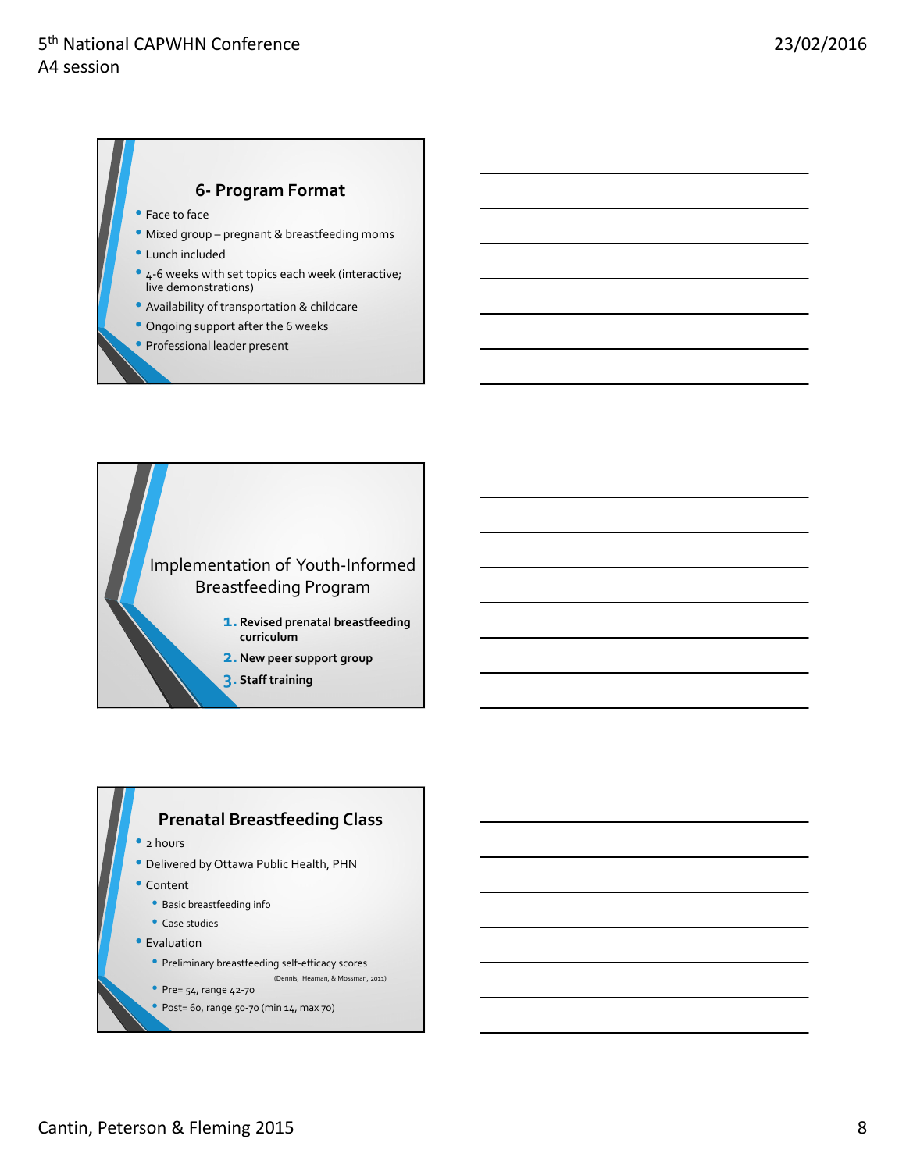## **6‐ Program Format**

- Face to face
- Mixed group pregnant & breastfeeding moms
- Lunch included
- 4-6 weeks with set topics each week (interactive; live demonstrations)
- Availability of transportation & childcare
- Ongoing support after the <sup>6</sup> weeks
- Professional leader present



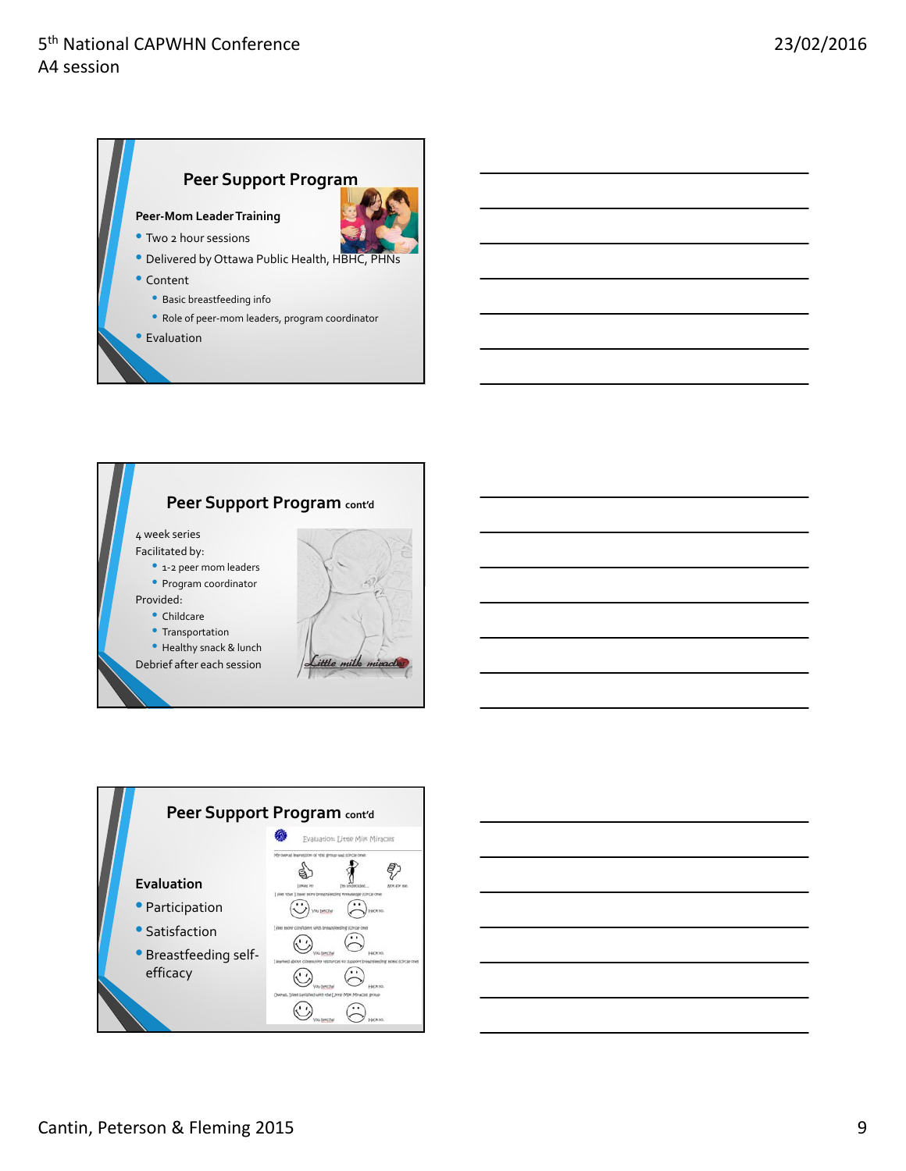





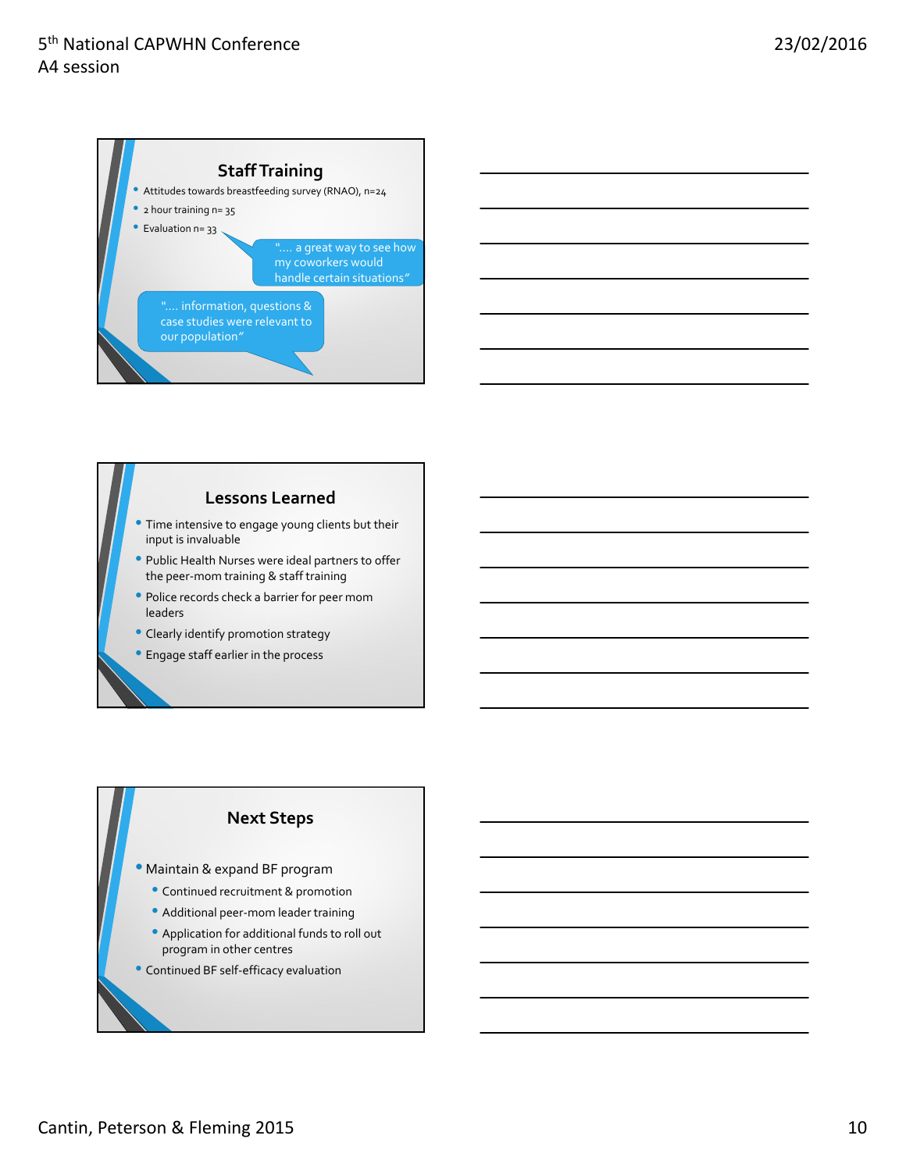



#### **Lessons Learned**

- Time intensive to engage young clients but their input is invaluable
- Public Health Nurses were ideal partners to offer the peer‐mom training & staff training
- Police records check <sup>a</sup> barrier for peer mom leaders
- Clearly identify promotion strategy
- Engage staff earlier in the process

#### **Next Steps**

- Maintain & expand BF program
	- Continued recruitment & promotion
	- Additional peer‐mom leader training
	- Application for additional funds to roll out program in other centres
- Continued BF self‐efficacy evaluation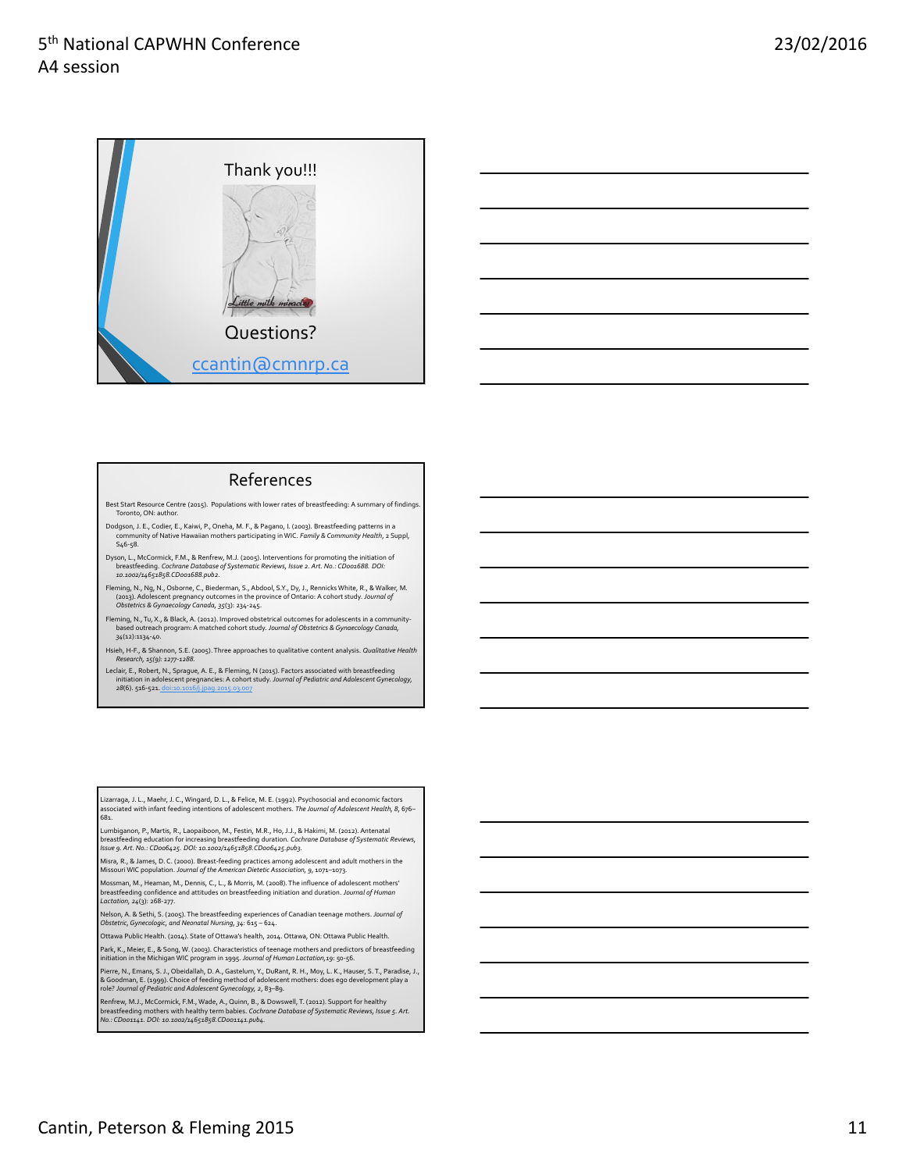



#### References

Best Start Resource Centre (2015). Populations with lower rates of breastfeeding: A summary of findings. Toronto, ON: author

- Dodgson, J. E., Codier, E., Kaiwi, P., Oneha, M. F., & Pagano, I. (2003). Breastfeeding patterns in a community of Native Hawaiian mothers participating in WIC. *Family & Community Health*, 2 Suppl,  $546 - 58$ .
- Dyson, L., McCormick, F.M., & Renfrew, M.J. (2005). Interventions for promoting the initiation of<br>breastfeeding. *Cochrane Database of Systematic Reviews, Issue 2. Art. No.: CDoo1688. DOI: 10.1002/14651858.CD001688.pub2.*
- Fleming, N., Ng, N., Osborne, C., Biederman, S., Abdool, S.Y., Dy, J., Rennicks White, R., & Walker, M.<br>(2013). Adolescent pregnancy outcomes in the province of Ontario: A cohort study. *Journal of*<br>Obstetrics & Gynaecolog
- Fleming, N., Tu, X., & Black, A. (2012). Improved obstetrical outcomes for adolescents in a community-<br>based outreach program: A matched cohort study. *Journal of Obstetrics & Gynaecology Canada*, *34*(12):1134‐40.
- Hsieh, H‐F., & Shannon, S.E. (2005).Three approaches to qualitative content analysis. *Qualitative Health Research, 15(9): 1277‐1288.*
- Leclair, E., Robert, N., Sprague, A. E., & Fleming, N (2015). Factors associated with breastfeeding<br>initiation in adolescent pregnancies: A cohort study. *Journal of Pediatric and Adolescent Gynecology*, 28(6). 516-521. doi:1

Lizarraga, J. L., Maehr, J. C., Wingard, D. L., & Felice, M. E. (1992). Psychosocial and economic factors associated with infant feeding intentions of adolescent mothers. *The Journal of Adolescent Health, 8*, 676– 681.

Lumbiganon, P., Martis, R., Laopaiboon, M., Festin, M.R., Ho, J.J., & Hakimi, M. (2012). Antenatal<br>breastfeeding education for increasing breastfeeding duration. *Cochrane Database of Systematic Reviews,*<br>*Issue 9. Art. No* 

Misra, R., & James, D. C. (2000). Breast-feeding practices among adolescent and adult mothers in the<br>Missouri WIC population. *Journal of the American Dietetic Association, 9*, 1071–1073.

Mossman, M., Heaman, M., Dennis, C., L., & Morris, M. (2008).The influence of adolescent mothers'

breastfeeding confidence and attitudes on breastfeeding initiation and duration. *Journal of Human Lactation, 24*(3): 268‐277. Nelson, A. & Sethi, S. (2005).The breastfeeding experiences of Canadian teenage mothers. *Journal of*

*Obstetric,Gynecologic, and Neonatal Nursing, 34*: 615 – 624.

Ottawa Public Health. (2014). State of Ottawa's health, 2014. Ottawa, ON: Ottawa Public Health.

Park, K., Meier, E., & Song, W. (2003). Characteristics of teenage mothers and predictors of breastfeeding initiation in the Michigan WIC program in 1995. *Journal of Human Lactation,19*: 50‐56.

Pierre, N., Emans, S. J., Obeidallah, D. A., Gastelum, Y., DuRant, R. H., Moy, L. K., Hauser, S. T., Paradise, J.,<br>& Goodman, E. (1999). Choice of feeding method of adolescent mothers: does ego development play a<br>role? *Jo* 

Renfrew, M.J., McCormick, F.M., Wade, A., Quinn, B., & Dowswell, T. (2012). Support for healthy<br>breastfeeding mothers with healthy term babies. *Cochrane Database of Systematic Reviews, Issue 5. Art.*<br>No.: CDoo1141. DOI: 1